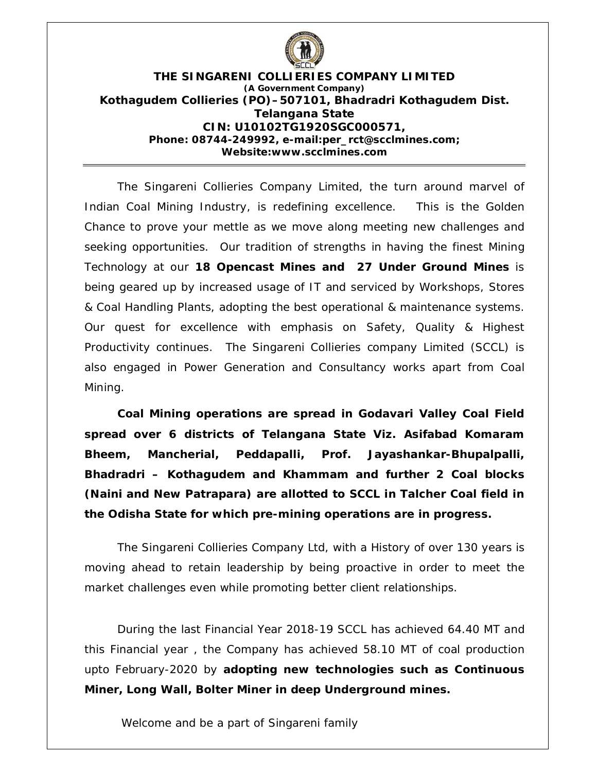

#### **THE SINGARENI COLLIERIES COMPANY LIMITED (A Government Company) Kothagudem Collieries (PO)–507101, Bhadradri Kothagudem Dist. Telangana State CIN: U10102TG1920SGC000571, Phone: 08744-249992, e-mail:per\_rct@scclmines.com; Website:www.scclmines.com**

The Singareni Collieries Company Limited, the turn around marvel of Indian Coal Mining Industry, is redefining excellence. This is the Golden Chance to prove your mettle as we move along meeting new challenges and seeking opportunities. Our tradition of strengths in having the finest Mining Technology at our **18 Opencast Mines and 27 Under Ground Mines** is being geared up by increased usage of IT and serviced by Workshops, Stores & Coal Handling Plants, adopting the best operational & maintenance systems. Our quest for excellence with emphasis on Safety, Quality & Highest Productivity continues. The Singareni Collieries company Limited (SCCL) is also engaged in Power Generation and Consultancy works apart from Coal Mining.

**Coal Mining operations are spread in Godavari Valley Coal Field spread over 6 districts of Telangana State Viz. Asifabad Komaram Bheem, Mancherial, Peddapalli, Prof. Jayashankar-Bhupalpalli, Bhadradri – Kothagudem and Khammam and further 2 Coal blocks (Naini and New Patrapara) are allotted to SCCL in Talcher Coal field in the Odisha State for which pre-mining operations are in progress.**

The Singareni Collieries Company Ltd, with a History of over 130 years is moving ahead to retain leadership by being proactive in order to meet the market challenges even while promoting better client relationships.

 During the last Financial Year 2018-19 SCCL has achieved 64.40 MT and this Financial year , the Company has achieved 58.10 MT of coal production upto February-2020 by **adopting new technologies such as Continuous Miner, Long Wall, Bolter Miner in deep Underground mines.**

Welcome and be a part of Singareni family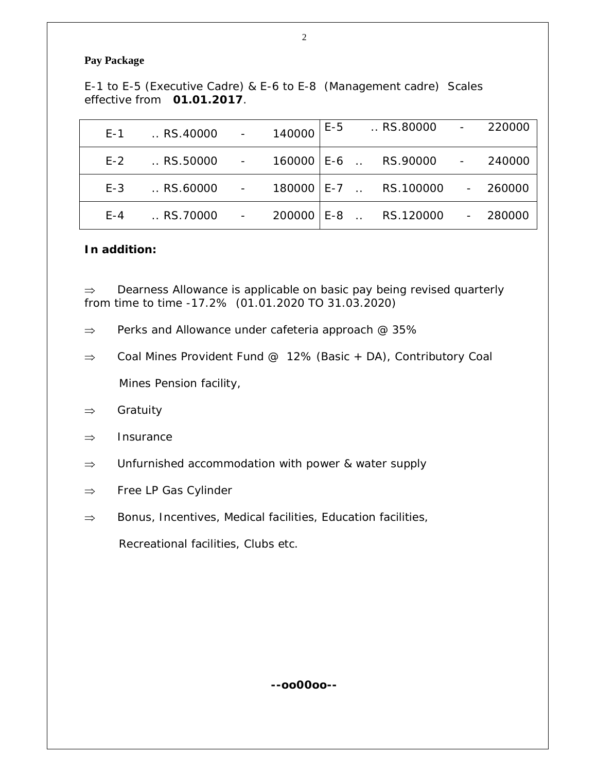#### **Pay Package**

E-1 to E-5 (Executive Cadre) & E-6 to E-8 (Management cadre) Scales effective from **01.01.2017**.

|     | E-1  RS.40000 - 140000                        |  |  | E-5  RS.80000 - 220000  |           |
|-----|-----------------------------------------------|--|--|-------------------------|-----------|
|     | E-2  RS.50000 - 160000 E-6  RS.90000 - 240000 |  |  |                         |           |
| E-3 | RS.60000 - 180000 E-7  RS.100000 - 260000     |  |  |                         |           |
| F-4 | $\ldots$ RS.70000                             |  |  | - 200000 E-8  RS.120000 | $-280000$ |

#### **In addition:**

 $\Rightarrow$  Dearness Allowance is applicable on basic pay being revised quarterly from time to time -17.2% (01.01.2020 TO 31.03.2020)

- $\Rightarrow$  Perks and Allowance under cafeteria approach @ 35%
- $\Rightarrow$  Coal Mines Provident Fund @ 12% (Basic + DA), Contributory Coal Mines Pension facility,
- $\Rightarrow$  Gratuity
- $\Rightarrow$  Insurance
- $\Rightarrow$  Unfurnished accommodation with power & water supply
- $\Rightarrow$  Free LP Gas Cylinder
- $\Rightarrow$  Bonus, Incentives, Medical facilities, Education facilities,

Recreational facilities, Clubs etc.

**--oo00oo--**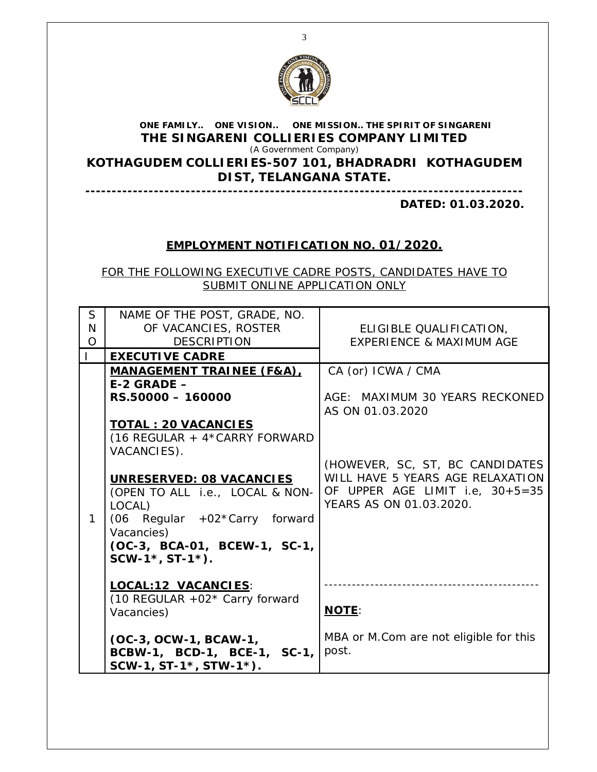

#### **ONE FAMILY.. ONE VISION.. ONE MISSION.. THE SPIRIT OF SINGARENI THE SINGARENI COLLIERIES COMPANY LIMITED** (A Government Company)

**KOTHAGUDEM COLLIERIES-507 101, BHADRADRI KOTHAGUDEM DIST, TELANGANA STATE.**

**-----------------------------------------------------------------------------------**

**DATED: 01.03.2020.**

# **EMPLOYMENT NOTIFICATION NO. 01/2020.**

FOR THE FOLLOWING EXECUTIVE CADRE POSTS, CANDIDATES HAVE TO SUBMIT ONLINE APPLICATION ONLY

| S<br>N<br>$\Omega$ | NAME OF THE POST, GRADE, NO.<br>OF VACANCIES, ROSTER<br><b>DESCRIPTION</b>                                                                                                                                                                                                                                                              | ELIGIBLE QUALIFICATION,<br><b>EXPERIENCE &amp; MAXIMUM AGE</b>                                                                                                                                                |
|--------------------|-----------------------------------------------------------------------------------------------------------------------------------------------------------------------------------------------------------------------------------------------------------------------------------------------------------------------------------------|---------------------------------------------------------------------------------------------------------------------------------------------------------------------------------------------------------------|
| $\mathbf{L}$       | <b>EXECUTIVE CADRE</b>                                                                                                                                                                                                                                                                                                                  |                                                                                                                                                                                                               |
|                    | <b>MANAGEMENT TRAINEE (F&amp;A),</b><br>$E-2$ GRADE $-$<br>RS.50000 - 160000<br><b>TOTAL: 20 VACANCIES</b><br>(16 REGULAR + 4*CARRY FORWARD<br>VACANCIES).<br>UNRESERVED: 08 VACANCIES<br>(OPEN TO ALL i.e., LOCAL & NON-<br>LOCAL)<br>(06 Regular +02*Carry forward<br>Vacancies)<br>(OC-3, BCA-01, BCEW-1, SC-1,<br>$SCW-1*, ST-1*$ . | CA (or) ICWA / CMA<br>AGE: MAXIMUM 30 YEARS RECKONED<br>AS ON 01.03.2020<br>(HOWEVER, SC, ST, BC CANDIDATES<br>WILL HAVE 5 YEARS AGE RELAXATION<br>OF UPPER AGE LIMIT i.e, 30+5=35<br>YEARS AS ON 01.03.2020. |
|                    | LOCAL:12 VACANCIES:<br>(10 REGULAR +02 $*$ Carry forward<br>Vacancies)<br>(OC-3, OCW-1, BCAW-1,<br>BCBW-1, BCD-1, BCE-1, SC-1,<br>SCW-1, ST-1*, STW-1*).                                                                                                                                                                                | <b>NOTE:</b><br>MBA or M.Com are not eligible for this<br>post.                                                                                                                                               |
|                    |                                                                                                                                                                                                                                                                                                                                         |                                                                                                                                                                                                               |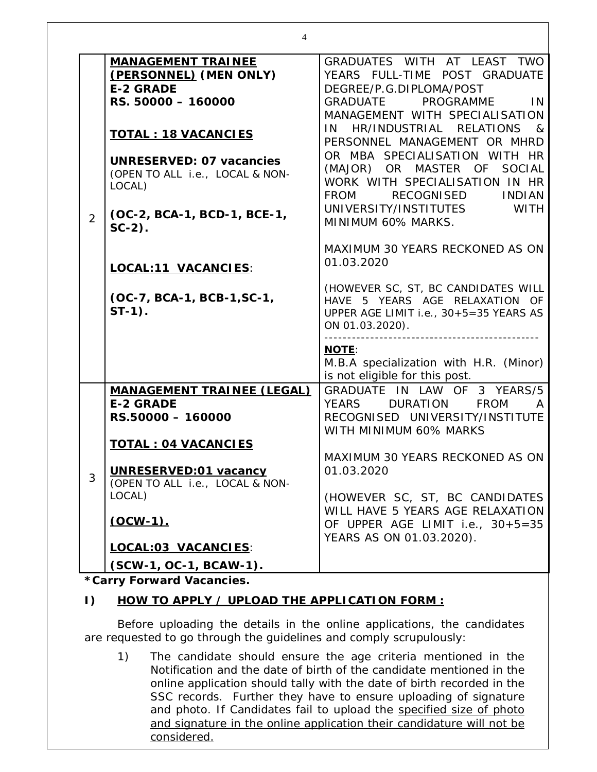|                | 4                                                                                                                                                                                                                                                                                                                          |                                                                                                                                                                                                                                                                                                                                                                                                                                                                                                                                                                                                                                                                                                                                                                                       |
|----------------|----------------------------------------------------------------------------------------------------------------------------------------------------------------------------------------------------------------------------------------------------------------------------------------------------------------------------|---------------------------------------------------------------------------------------------------------------------------------------------------------------------------------------------------------------------------------------------------------------------------------------------------------------------------------------------------------------------------------------------------------------------------------------------------------------------------------------------------------------------------------------------------------------------------------------------------------------------------------------------------------------------------------------------------------------------------------------------------------------------------------------|
| $\overline{2}$ | <b>MANAGEMENT TRAINEE</b><br>(PERSONNEL) (MEN ONLY)<br><b>E-2 GRADE</b><br>RS. 50000 - 160000<br><b>TOTAL : 18 VACANCIES</b><br><b>UNRESERVED: 07 vacancies</b><br>(OPEN TO ALL i.e., LOCAL & NON-<br>LOCAL)<br>(OC-2, BCA-1, BCD-1, BCE-1,<br>$SC-2$ ).<br>LOCAL:11 VACANCIES:<br>(OC-7, BCA-1, BCB-1, SC-1,<br>$ST-1$ ). | GRADUATES WITH AT LEAST TWO<br>YEARS FULL-TIME POST GRADUATE<br>DEGREE/P.G.DIPLOMA/POST<br><b>GRADUATE</b><br>PROGRAMME<br>IN.<br>MANAGEMENT WITH SPECIALISATION<br>HR/INDUSTRIAL<br><b>RELATIONS</b><br>IN<br>$\mathcal{R}_{\mathcal{C}}$<br>PERSONNEL MANAGEMENT OR MHRD<br>OR MBA SPECIALISATION WITH HR<br>(MAJOR) OR MASTER OF<br><b>SOCIAL</b><br>WORK WITH SPECIALISATION IN HR<br>RECOGNISED<br><b>INDIAN</b><br><b>FROM</b><br><b>WITH</b><br>UNIVERSITY/INSTITUTES<br>MINIMUM 60% MARKS.<br>MAXIMUM 30 YEARS RECKONED AS ON<br>01.03.2020<br>(HOWEVER SC, ST, BC CANDIDATES WILL<br>HAVE 5 YEARS AGE RELAXATION OF<br>UPPER AGE LIMIT i.e., 30+5=35 YEARS AS<br>ON 01.03.2020).<br><b>NOTE:</b><br>M.B.A specialization with H.R. (Minor)<br>is not eligible for this post. |
| 3              | <b>MANAGEMENT TRAINEE (LEGAL)</b><br><b>E-2 GRADE</b><br>RS.50000 - 160000<br><b>TOTAL: 04 VACANCIES</b><br>UNRESERVED:01 vacancy<br>(OPEN TO ALL i.e., LOCAL & NON-<br>LOCAL)<br>$(OCW-1)$ .<br><b>LOCAL:03 VACANCIES:</b><br>(SCW-1, OC-1, BCAW-1).                                                                      | GRADUATE IN LAW OF 3 YEARS/5<br><b>YEARS</b><br><b>DURATION</b><br><b>FROM</b><br>RECOGNISED UNIVERSITY/INSTITUTE<br>WITH MINIMUM 60% MARKS<br>MAXIMUM 30 YEARS RECKONED AS ON<br>01.03.2020<br>(HOWEVER SC, ST, BC CANDIDATES<br>WILL HAVE 5 YEARS AGE RELAXATION<br>OF UPPER AGE LIMIT i.e., 30+5=35<br>YEARS AS ON 01.03.2020).                                                                                                                                                                                                                                                                                                                                                                                                                                                    |

#### **\*Carry Forward Vacancies.**

### **I) HOW TO APPLY / UPLOAD THE APPLICATION FORM :**

Before uploading the details in the online applications, the candidates are requested to go through the guidelines and comply scrupulously:

1) The candidate should ensure the age criteria mentioned in the Notification and the date of birth of the candidate mentioned in the online application should tally with the date of birth recorded in the SSC records. Further they have to ensure uploading of signature and photo. If Candidates fail to upload the specified size of photo and signature in the online application their candidature will not be considered.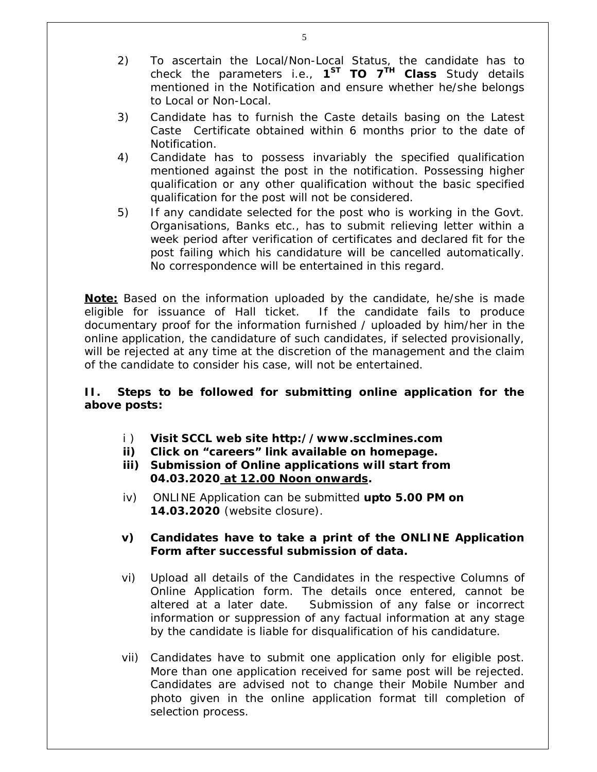- 2) To ascertain the Local/Non-Local Status, the candidate has to check the parameters i.e., **1 ST TO 7TH Class** Study details mentioned in the Notification and ensure whether he/she belongs to Local or Non-Local.
- 3) Candidate has to furnish the Caste details basing on the Latest Caste Certificate obtained within 6 months prior to the date of Notification.
- 4) Candidate has to possess invariably the specified qualification mentioned against the post in the notification. Possessing higher qualification or any other qualification without the basic specified qualification for the post will not be considered.
- 5) If any candidate selected for the post who is working in the Govt. Organisations, Banks etc., has to submit relieving letter within a week period after verification of certificates and declared fit for the post failing which his candidature will be cancelled automatically. No correspondence will be entertained in this regard.

**Note:** Based on the information uploaded by the candidate, he/she is made eligible for issuance of Hall ticket. If the candidate fails to produce documentary proof for the information furnished / uploaded by him/her in the online application, the candidature of such candidates, if selected provisionally, will be rejected at any time at the discretion of the management and the claim of the candidate to consider his case, will not be entertained.

### **II. Steps to be followed for submitting online application for the above posts:**

- i ) **Visit SCCL web site http://www.scclmines.com**
- **ii) Click on "careers" link available on homepage.**
- **iii) Submission of Online applications will start from 04.03.2020 at 12.00 Noon onwards.**
- iv) ONLINE Application can be submitted **upto 5.00 PM on 14.03.2020** (website closure).
- **v) Candidates have to take a print of the ONLINE Application Form after successful submission of data.**
- vi) Upload all details of the Candidates in the respective Columns of Online Application form. The details once entered, cannot be altered at a later date. Submission of any false or incorrect information or suppression of any factual information at any stage by the candidate is liable for disqualification of his candidature.
- vii) Candidates have to submit one application only for eligible post. More than one application received for same post will be rejected. Candidates are advised not to change their Mobile Number and photo given in the online application format till completion of selection process.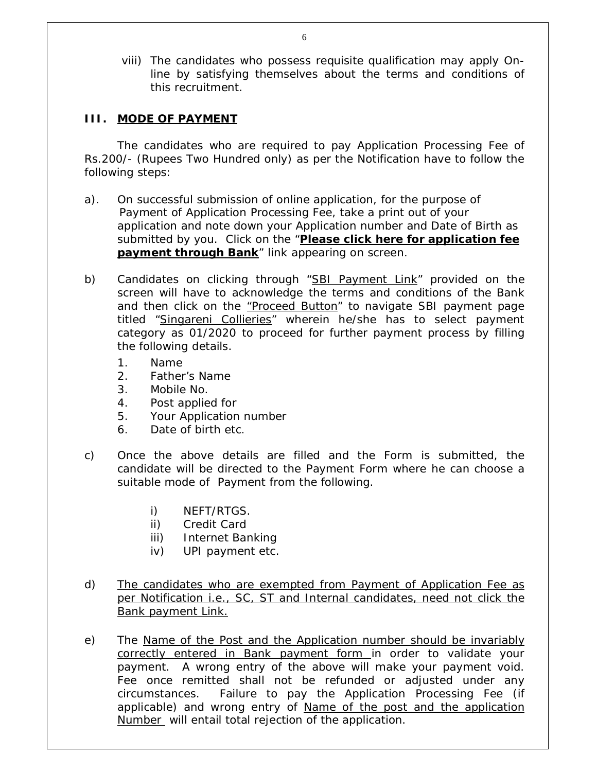viii) The candidates who possess requisite qualification may apply Online by satisfying themselves about the terms and conditions of this recruitment.

#### **III. MODE OF PAYMENT**

The candidates who are required to pay Application Processing Fee of Rs.200/- (Rupees Two Hundred only) as per the Notification have to follow the following steps:

- a). On successful submission of online application, for the purpose of Payment of Application Processing Fee, take a print out of your application and note down your Application number and Date of Birth as submitted by you. Click on the "**Please click here for application fee payment through Bank**" link appearing on screen.
- b) Candidates on clicking through "SBI Payment Link" provided on the screen will have to acknowledge the terms and conditions of the Bank and then click on the "Proceed Button" to navigate SBI payment page titled "Singareni Collieries" wherein he/she has to select payment category as 01/2020 to proceed for further payment process by filling the following details.
	- 1. Name
	- 2. Father's Name
	- 3. Mobile No.
	- 4. Post applied for
	- 5. Your Application number
	- 6. Date of birth etc.
- c) Once the above details are filled and the Form is submitted, the candidate will be directed to the Payment Form where he can choose a suitable mode of Payment from the following.
	- i) NEFT/RTGS.
	- ii) Credit Card
	- iii) Internet Banking
	- iv) UPI payment etc.
- d) The candidates who are exempted from Payment of Application Fee as per Notification i.e., SC, ST and Internal candidates, need not click the Bank payment Link.
- e) The Name of the Post and the Application number should be invariably correctly entered in Bank payment form in order to validate your payment. A wrong entry of the above will make your payment void. Fee once remitted shall not be refunded or adjusted under any circumstances. Failure to pay the Application Processing Fee (if applicable) and wrong entry of Name of the post and the application Number will entail total rejection of the application.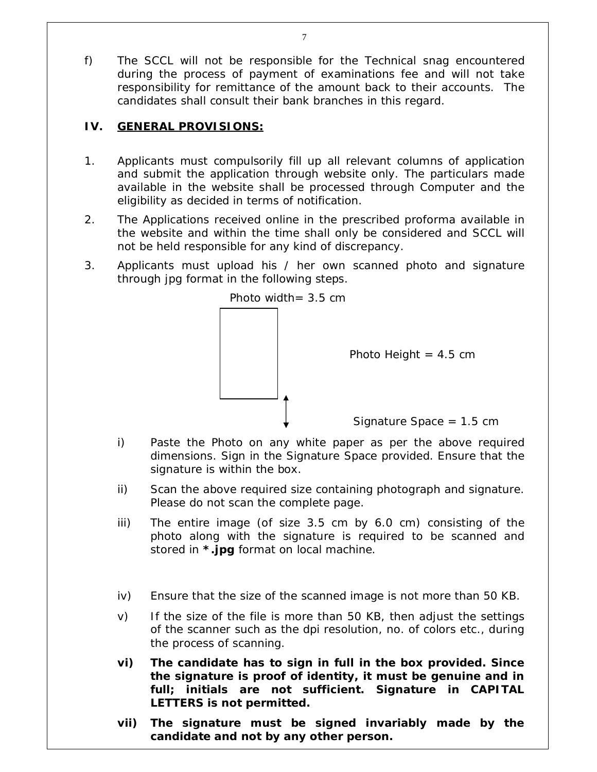f) The SCCL will not be responsible for the Technical snag encountered during the process of payment of examinations fee and will not take responsibility for remittance of the amount back to their accounts. The candidates shall consult their bank branches in this regard.

# **IV. GENERAL PROVISIONS:**

- 1. Applicants must compulsorily fill up all relevant columns of application and submit the application through website only. The particulars made available in the website shall be processed through Computer and the eligibility as decided in terms of notification.
- 2. The Applications received online in the prescribed proforma available in the website and within the time shall only be considered and SCCL will not be held responsible for any kind of discrepancy.
- 3. Applicants must upload his / her own scanned photo and signature through jpg format in the following steps.



- i) Paste the Photo on any white paper as per the above required dimensions. Sign in the Signature Space provided. Ensure that the signature is within the box.
- ii) Scan the above required size containing photograph and signature. Please do not scan the complete page.
- iii) The entire image (of size 3.5 cm by 6.0 cm) consisting of the photo along with the signature is required to be scanned and stored in **\*.jpg** format on local machine.
- iv) Ensure that the size of the scanned image is not more than 50 KB.
- v) If the size of the file is more than 50 KB, then adjust the settings of the scanner such as the dpi resolution, no. of colors etc., during the process of scanning.
- **vi) The candidate has to sign in full in the box provided. Since the signature is proof of identity, it must be genuine and in full; initials are not sufficient. Signature in CAPITAL LETTERS is not permitted.**
- **vii) The signature must be signed invariably made by the candidate and not by any other person.**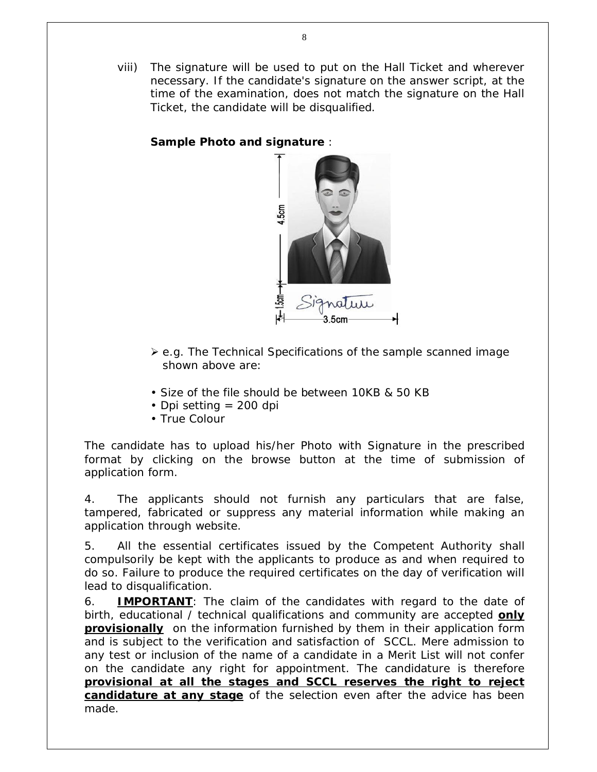viii) The signature will be used to put on the Hall Ticket and wherever necessary. If the candidate's signature on the answer script, at the time of the examination, does not match the signature on the Hall Ticket, the candidate will be disqualified.

### **Sample Photo and signature** :



- $\geq$  e.g. The Technical Specifications of the sample scanned image shown above are:
- Size of the file should be between 10KB & 50 KB
- Dpi setting  $= 200$  dpi
- True Colour

The candidate has to upload his/her Photo with Signature in the prescribed format by clicking on the browse button at the time of submission of application form.

4. The applicants should not furnish any particulars that are false, tampered, fabricated or suppress any material information while making an application through website.

5. All the essential certificates issued by the Competent Authority shall compulsorily be kept with the applicants to produce as and when required to do so. Failure to produce the required certificates on the day of verification will lead to disqualification.

6. **IMPORTANT**: The claim of the candidates with regard to the date of birth, educational / technical qualifications and community are accepted **only provisionally** on the information furnished by them in their application form and is subject to the verification and satisfaction of SCCL. Mere admission to any test or inclusion of the name of a candidate in a Merit List will not confer on the candidate any right for appointment. The candidature is therefore **provisional at all the stages and SCCL reserves the right to reject candidature at any stage** of the selection even after the advice has been made.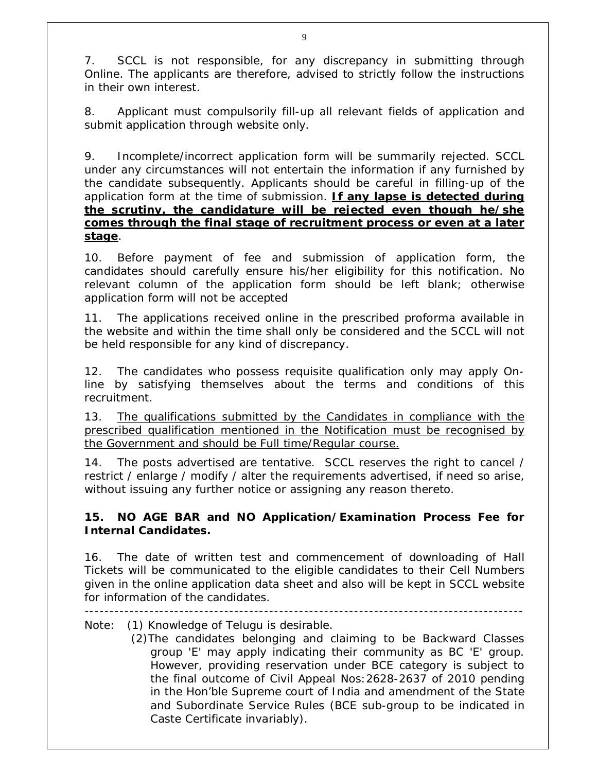7. SCCL is not responsible, for any discrepancy in submitting through Online. The applicants are therefore, advised to strictly follow the instructions in their own interest.

8. Applicant must compulsorily fill-up all relevant fields of application and submit application through website only.

9. Incomplete/incorrect application form will be summarily rejected. SCCL under any circumstances will not entertain the information if any furnished by the candidate subsequently. Applicants should be careful in filling-up of the application form at the time of submission. **If any lapse is detected during the scrutiny, the candidature will be rejected even though he/she comes through the final stage of recruitment process or even at a later stage**.

10. Before payment of fee and submission of application form, the candidates should carefully ensure his/her eligibility for this notification. No relevant column of the application form should be left blank; otherwise application form will not be accepted

11. The applications received online in the prescribed proforma available in the website and within the time shall only be considered and the SCCL will not be held responsible for any kind of discrepancy.

12. The candidates who possess requisite qualification only may apply Online by satisfying themselves about the terms and conditions of this recruitment.

13. The qualifications submitted by the Candidates in compliance with the prescribed qualification mentioned in the Notification must be recognised by the Government and should be Full time/Regular course.

14. The posts advertised are tentative. SCCL reserves the right to cancel / restrict / enlarge / modify / alter the requirements advertised, if need so arise, without issuing any further notice or assigning any reason thereto.

# **15. NO AGE BAR and NO Application/Examination Process Fee for Internal Candidates.**

16. The date of written test and commencement of downloading of Hall Tickets will be communicated to the eligible candidates to their Cell Numbers given in the online application data sheet and also will be kept in SCCL website for information of the candidates.

----------------------------------------------------------------------------------------

Note: (1) Knowledge of Telugu is desirable.

 (2)The candidates belonging and claiming to be Backward Classes group 'E' may apply indicating their community as BC 'E' group. However, providing reservation under BCE category is subject to the final outcome of Civil Appeal Nos:2628-2637 of 2010 pending in the Hon'ble Supreme court of India and amendment of the State and Subordinate Service Rules (BCE sub-group to be indicated in Caste Certificate invariably).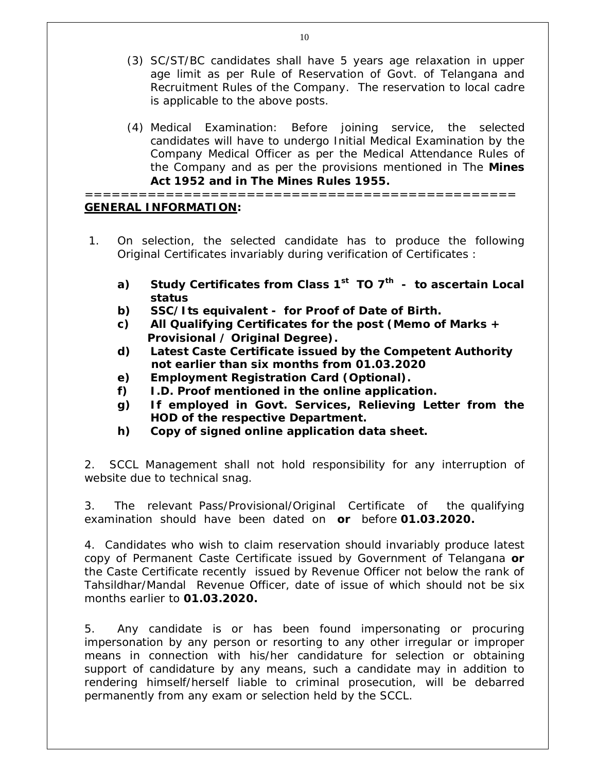- (3) SC/ST/BC candidates shall have 5 years age relaxation in upper age limit as per Rule of Reservation of Govt. of Telangana and Recruitment Rules of the Company. The reservation to local cadre is applicable to the above posts.
- (4) Medical Examination: Before joining service, the selected candidates will have to undergo Initial Medical Examination by the Company Medical Officer as per the Medical Attendance Rules of the Company and as per the provisions mentioned in The **Mines Act 1952 and in The Mines Rules 1955.**

================================================ **GENERAL INFORMATION:**

- 1. On selection, the selected candidate has to produce the following Original Certificates invariably during verification of Certificates :
	- **a) Study Certificates from Class 1st TO 7th to ascertain Local status**
	- **b) SSC/Its equivalent for Proof of Date of Birth.**
	- **c) All Qualifying Certificates for the post (Memo of Marks + Provisional / Original Degree).**
	- **d) Latest Caste Certificate issued by the Competent Authority not earlier than six months from 01.03.2020**
	- **e) Employment Registration Card (Optional).**
	- **f) I.D. Proof mentioned in the online application.**
	- **g) If employed in Govt. Services, Relieving Letter from the HOD of the respective Department.**
	- **h) Copy of signed online application data sheet.**

2. SCCL Management shall not hold responsibility for any interruption of website due to technical snag.

3. The relevant Pass/Provisional/Original Certificate of the qualifying examination should have been dated on **or** before **01.03.2020.**

4. Candidates who wish to claim reservation should invariably produce latest copy of Permanent Caste Certificate issued by Government of Telangana **or** the Caste Certificate recently issued by Revenue Officer not below the rank of Tahsildhar/Mandal Revenue Officer, date of issue of which should not be six months earlier to **01.03.2020.** 

5. Any candidate is or has been found impersonating or procuring impersonation by any person or resorting to any other irregular or improper means in connection with his/her candidature for selection or obtaining support of candidature by any means, such a candidate may in addition to rendering himself/herself liable to criminal prosecution, will be debarred permanently from any exam or selection held by the SCCL.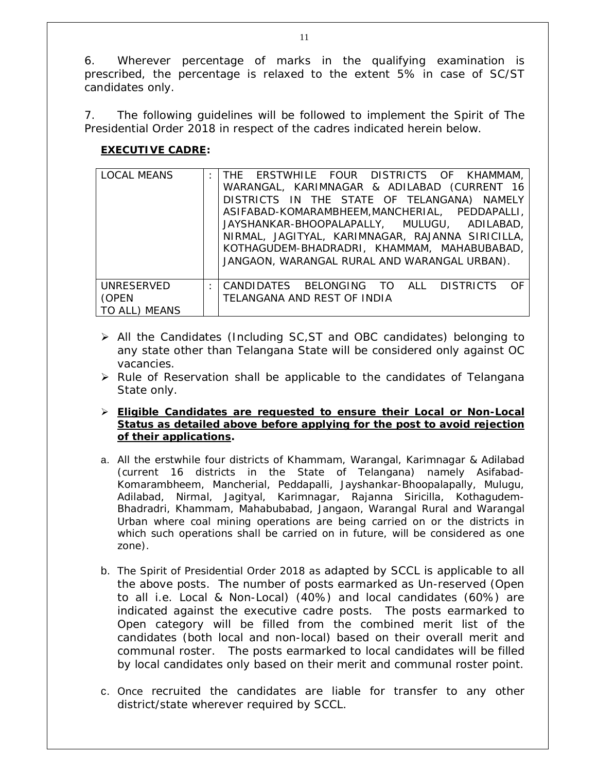6. Wherever percentage of marks in the qualifying examination is prescribed, the percentage is relaxed to the extent 5% in case of SC/ST candidates only.

7. The following guidelines will be followed to implement the Spirit of The Presidential Order 2018 in respect of the cadres indicated herein below.

### **EXECUTIVE CADRE:**

| <b>LOCAL MEANS</b>                   | : THE ERSTWHILE FOUR DISTRICTS OF KHAMMAM,<br>WARANGAL, KARIMNAGAR & ADILABAD (CURRENT 16<br>DISTRICTS IN THE STATE OF TELANGANA) NAMELY<br>ASIFABAD-KOMARAMBHEEM, MANCHERIAL, PEDDAPALLI,<br>JAYSHANKAR-BHOOPALAPALLY, MULUGU, ADILABAD,<br>NIRMAL, JAGITYAL, KARIMNAGAR, RAJANNA SIRICILLA,<br>KOTHAGUDEM-BHADRADRI, KHAMMAM, MAHABUBABAD,<br>JANGAON, WARANGAL RURAL AND WARANGAL URBAN). |
|--------------------------------------|----------------------------------------------------------------------------------------------------------------------------------------------------------------------------------------------------------------------------------------------------------------------------------------------------------------------------------------------------------------------------------------------|
| UNRESERVED<br>(OPEN<br>TO ALL) MEANS | : CANDIDATES BELONGING TO ALL DISTRICTS OF<br>TELANGANA AND REST OF INDIA                                                                                                                                                                                                                                                                                                                    |

- All the Candidates (Including SC,ST and OBC candidates) belonging to any state other than Telangana State will be considered only against OC vacancies.
- $\triangleright$  Rule of Reservation shall be applicable to the candidates of Telangana State only.
- **Eligible Candidates are requested to ensure their Local or Non-Local Status as detailed above before applying for the post to avoid rejection of their applications.**
- a. All the erstwhile four districts of Khammam, Warangal, Karimnagar & Adilabad (current 16 districts in the State of Telangana) namely Asifabad-Komarambheem, Mancherial, Peddapalli, Jayshankar-Bhoopalapally, Mulugu, Adilabad, Nirmal, Jagityal, Karimnagar, Rajanna Siricilla, Kothagudem-Bhadradri, Khammam, Mahabubabad, Jangaon, Warangal Rural and Warangal Urban where coal mining operations are being carried on or the districts in which such operations shall be carried on in future, will be considered as one zone).
- b. The Spirit of Presidential Order 2018 as adapted by SCCL is applicable to all the above posts. The number of posts earmarked as Un-reserved (Open to all i.e. Local & Non-Local) (40%) and local candidates (60%) are indicated against the executive cadre posts. The posts earmarked to Open category will be filled from the combined merit list of the candidates (both local and non-local) based on their overall merit and communal roster. The posts earmarked to local candidates will be filled by local candidates only based on their merit and communal roster point.
- c. Once recruited the candidates are liable for transfer to any other district/state wherever required by SCCL.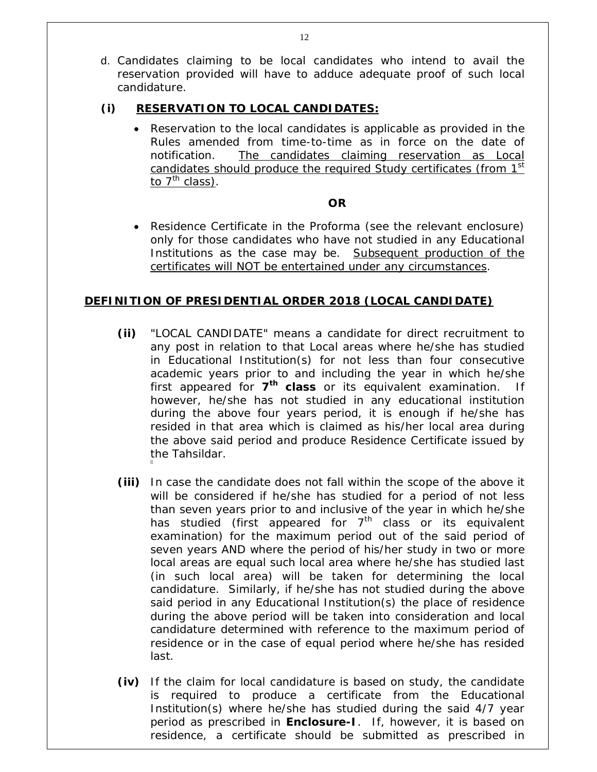d. Candidates claiming to be local candidates who intend to avail the reservation provided will have to adduce adequate proof of such local candidature.

#### **(i) RESERVATION TO LOCAL CANDIDATES:**

 Reservation to the local candidates is applicable as provided in the Rules amended from time-to-time as in force on the date of notification. The candidates claiming reservation as Local candidates should produce the required Study certificates (from 1<sup>st</sup> to  $7<sup>th</sup>$  class).

#### **OR**

 Residence Certificate in the Proforma (see the relevant enclosure) only for those candidates who have not studied in any Educational Institutions as the case may be. Subsequent production of the certificates will NOT be entertained under any circumstances.

#### **DEFINITION OF PRESIDENTIAL ORDER 2018 (LOCAL CANDIDATE)**

- **(ii)** "LOCAL CANDIDATE" means a candidate for direct recruitment to any post in relation to that Local areas where he/she has studied in Educational Institution(s) for not less than four consecutive academic years prior to and including the year in which he/she first appeared for **7 th class** or its equivalent examination. If however, he/she has not studied in any educational institution during the above four years period, it is enough if he/she has resided in that area which is claimed as his/her local area during the above said period and produce Residence Certificate issued by the Tahsildar.
- **(iii)** In case the candidate does not fall within the scope of the above it will be considered if he/she has studied for a period of not less than seven years prior to and inclusive of the year in which he/she has studied (first appeared for  $7<sup>th</sup>$  class or its equivalent examination) for the maximum period out of the said period of seven years AND where the period of his/her study in two or more local areas are equal such local area where he/she has studied last (in such local area) will be taken for determining the local candidature. Similarly, if he/she has not studied during the above said period in any Educational Institution(s) the place of residence during the above period will be taken into consideration and local candidature determined with reference to the maximum period of residence or in the case of equal period where he/she has resided last.
- **(iv)** If the claim for local candidature is based on study, the candidate is required to produce a certificate from the Educational Institution(s) where he/she has studied during the said 4/7 year period as prescribed in **Enclosure-I**. If, however, it is based on residence, a certificate should be submitted as prescribed in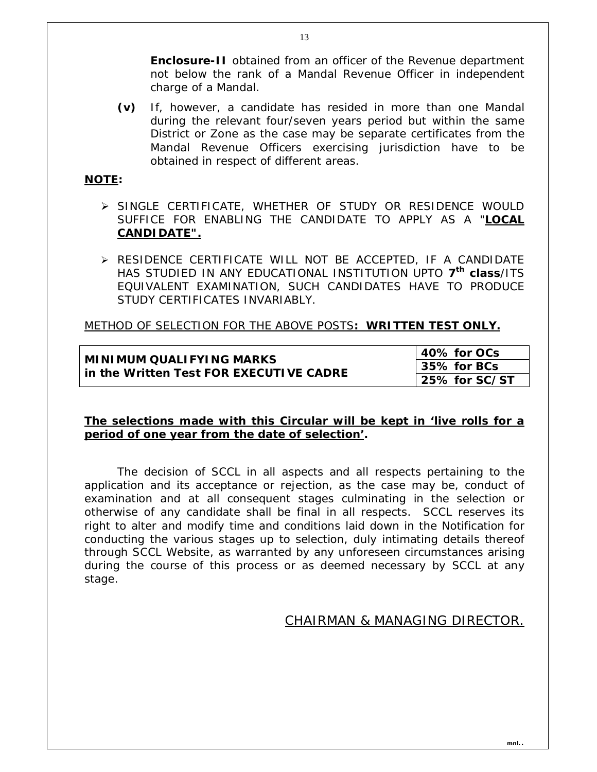**Enclosure-II** obtained from an officer of the Revenue department not below the rank of a Mandal Revenue Officer in independent charge of a Mandal.

**(v)** If, however, a candidate has resided in more than one Mandal during the relevant four/seven years period but within the same District or Zone as the case may be separate certificates from the Mandal Revenue Officers exercising jurisdiction have to be obtained in respect of different areas.

#### **NOTE:**

- SINGLE CERTIFICATE, WHETHER OF STUDY OR RESIDENCE WOULD SUFFICE FOR ENABLING THE CANDIDATE TO APPLY AS A "**LOCAL CANDIDATE".**
- RESIDENCE CERTIFICATE WILL NOT BE ACCEPTED, IF A CANDIDATE HAS STUDIED IN ANY EDUCATIONAL INSTITUTION UPTO **7 th class**/ITS EQUIVALENT EXAMINATION, SUCH CANDIDATES HAVE TO PRODUCE STUDY CERTIFICATES INVARIABLY.

#### METHOD OF SELECTION FOR THE ABOVE POSTS**: WRITTEN TEST ONLY.**

# **MINIMUM QUALIFYING MARKS in the Written Test FOR EXECUTIVE CADRE**

**40% for OCs 35% for BCs 25% for SC/ST**

#### **The selections made with this Circular will be kept in 'live rolls for a period of one year from the date of selection'.**

The decision of SCCL in all aspects and all respects pertaining to the application and its acceptance or rejection, as the case may be, conduct of examination and at all consequent stages culminating in the selection or otherwise of any candidate shall be final in all respects. SCCL reserves its right to alter and modify time and conditions laid down in the Notification for conducting the various stages up to selection, duly intimating details thereof through SCCL Website, as warranted by any unforeseen circumstances arising during the course of this process or as deemed necessary by SCCL at any stage.

### CHAIRMAN & MANAGING DIRECTOR.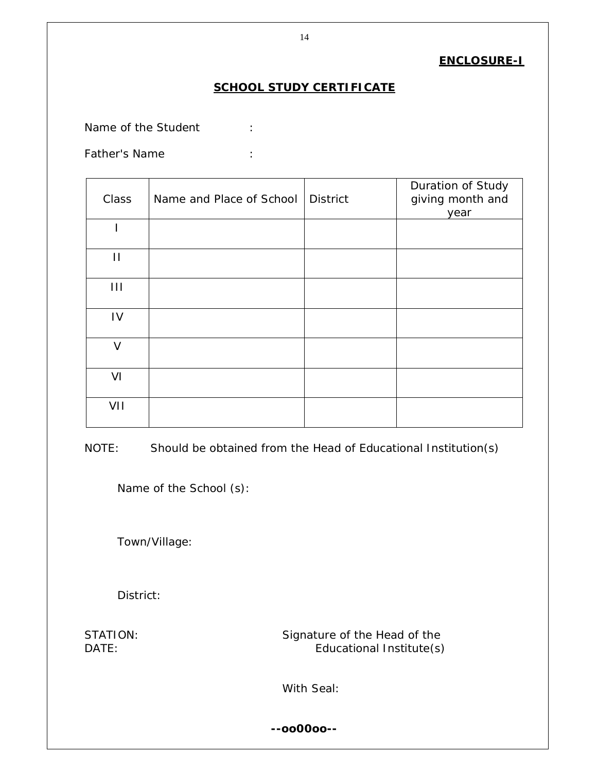#### **ENCLOSURE-I**

# **SCHOOL STUDY CERTIFICATE**

Name of the Student :

Father's Name :

| Class        | Name and Place of School | <b>District</b> | Duration of Study<br>giving month and<br>year |
|--------------|--------------------------|-----------------|-----------------------------------------------|
|              |                          |                 |                                               |
| П            |                          |                 |                                               |
| $\mathbf{H}$ |                          |                 |                                               |
| IV           |                          |                 |                                               |
| $\vee$       |                          |                 |                                               |
| VI           |                          |                 |                                               |
| VII          |                          |                 |                                               |

NOTE: Should be obtained from the Head of Educational Institution(s)

Name of the School (s):

Town/Village:

District:

STATION: STATION: Signature of the Head of the DATE: Educational Institute(s)

With Seal:

**--oo00oo--**